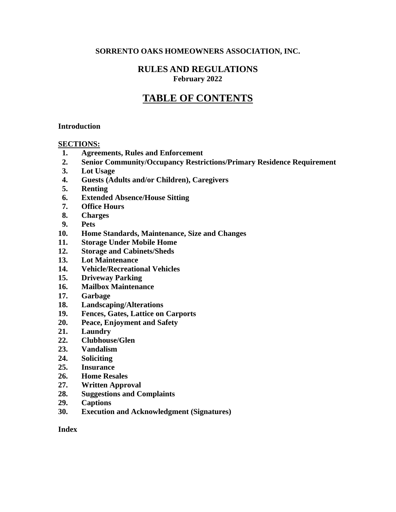#### **SORRENTO OAKS HOMEOWNERS ASSOCIATION, INC.**

## **RULES AND REGULATIONS February 2022**

# **TABLE OF CONTENTS**

#### **Introduction**

#### **SECTIONS:**

- **1. Agreements, Rules and Enforcement**
- **2. Senior Community/Occupancy Restrictions/Primary Residence Requirement**
- **3. Lot Usage**
- **4. Guests (Adults and/or Children), Caregivers**
- **5. Renting**
- **6. Extended Absence/House Sitting**
- **7. Office Hours**
- **8. Charges**
- **9. Pets**
- **10. Home Standards, Maintenance, Size and Changes**
- **11. Storage Under Mobile Home**
- **12. Storage and Cabinets/Sheds**
- **13. Lot Maintenance**
- **14. Vehicle/Recreational Vehicles**
- **15. Driveway Parking**
- **16. Mailbox Maintenance**
- **17. Garbage**
- **18. Landscaping/Alterations**
- **19. Fences, Gates, Lattice on Carports**
- **20. Peace, Enjoyment and Safety**
- **21. Laundry**
- **22. Clubhouse/Glen**
- **23. Vandalism**
- **24. Soliciting**
- **25. Insurance**
- **26. Home Resales**
- **27. Written Approval**
- **28. Suggestions and Complaints**
- **29. Captions**
- **30. Execution and Acknowledgment (Signatures)**

#### **Index**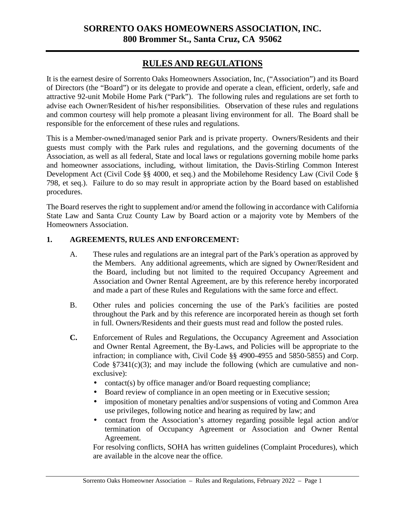# **SORRENTO OAKS HOMEOWNERS ASSOCIATION, INC. 800 Brommer St., Santa Cruz, CA 95062**

# **RULES AND REGULATIONS**

It is the earnest desire of Sorrento Oaks Homeowners Association, Inc, ("Association") and its Board of Directors (the "Board") or its delegate to provide and operate a clean, efficient, orderly, safe and attractive 92-unit Mobile Home Park ("Park"). The following rules and regulations are set forth to advise each Owner/Resident of his/her responsibilities. Observation of these rules and regulations and common courtesy will help promote a pleasant living environment for all. The Board shall be responsible for the enforcement of these rules and regulations.

This is a Member-owned/managed senior Park and is private property. Owners/Residents and their guests must comply with the Park rules and regulations, and the governing documents of the Association, as well as all federal, State and local laws or regulations governing mobile home parks and homeowner associations, including, without limitation, the Davis-Stirling Common Interest Development Act (Civil Code §§ 4000, et seq.) and the Mobilehome Residency Law (Civil Code § 798, et seq.). Failure to do so may result in appropriate action by the Board based on established procedures.

The Board reserves the right to supplement and/or amend the following in accordance with California State Law and Santa Cruz County Law by Board action or a majority vote by Members of the Homeowners Association.

#### **1. AGREEMENTS, RULES AND ENFORCEMENT:**

- A. These rules and regulations are an integral part of the Park's operation as approved by the Members. Any additional agreements, which are signed by Owner/Resident and the Board, including but not limited to the required Occupancy Agreement and Association and Owner Rental Agreement, are by this reference hereby incorporated and made a part of these Rules and Regulations with the same force and effect.
- B. Other rules and policies concerning the use of the Park's facilities are posted throughout the Park and by this reference are incorporated herein as though set forth in full. Owners/Residents and their guests must read and follow the posted rules.
- **C.** Enforcement of Rules and Regulations, the Occupancy Agreement and Association and Owner Rental Agreement, the By-Laws, and Policies will be appropriate to the infraction; in compliance with, Civil Code §§ 4900-4955 and 5850-5855) and Corp. Code  $\S 7341(c)(3)$ ; and may include the following (which are cumulative and nonexclusive):
	- contact(s) by office manager and/or Board requesting compliance;
	- Board review of compliance in an open meeting or in Executive session;
	- imposition of monetary penalties and/or suspensions of voting and Common Area use privileges, following notice and hearing as required by law; and
	- contact from the Association's attorney regarding possible legal action and/or termination of Occupancy Agreement or Association and Owner Rental Agreement.

For resolving conflicts, SOHA has written guidelines (Complaint Procedures), which are available in the alcove near the office.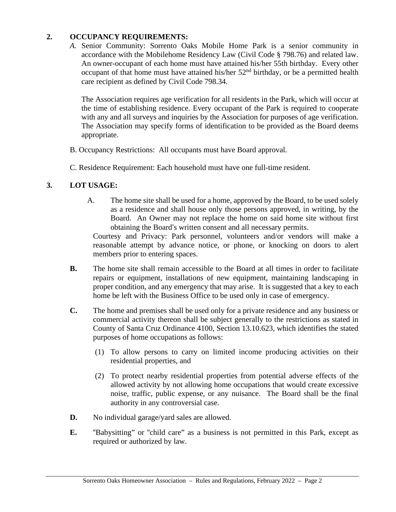## **2. OCCUPANCY REQUIREMENTS:**

*A.* Senior Community: Sorrento Oaks Mobile Home Park is a senior community in accordance with the Mobilehome Residency Law (Civil Code § 798.76) and related law. An owner-occupant of each home must have attained his/her 55th birthday. Every other occupant of that home must have attained his/her  $52<sup>nd</sup>$  birthday, or be a permitted health care recipient as defined by Civil Code 798.34.

The Association requires age verification for all residents in the Park, which will occur at the time of establishing residence. Every occupant of the Park is required to cooperate with any and all surveys and inquiries by the Association for purposes of age verification. The Association may specify forms of identification to be provided as the Board deems appropriate.

- B. Occupancy Restrictions: All occupants must have Board approval.
- C. Residence Requirement: Each household must have one full-time resident.

# **3. LOT USAGE:**

A. The home site shall be used for a home, approved by the Board, to be used solely as a residence and shall house only those persons approved, in writing, by the Board. An Owner may not replace the home on said home site without first obtaining the Board's written consent and all necessary permits.

Courtesy and Privacy: Park personnel, volunteers and/or vendors will make a reasonable attempt by advance notice, or phone, or knocking on doors to alert members prior to entering spaces.

- **B.** The home site shall remain accessible to the Board at all times in order to facilitate repairs or equipment, installations of new equipment, maintaining landscaping in proper condition, and any emergency that may arise. It is suggested that a key to each home be left with the Business Office to be used only in case of emergency.
- **C.** The home and premises shall be used only for a private residence and any business or commercial activity thereon shall be subject generally to the restrictions as stated in County of Santa Cruz Ordinance 4100, Section 13.10.623, which identifies the stated purposes of home occupations as follows:
	- (1) To allow persons to carry on limited income producing activities on their residential properties, and
	- (2) To protect nearby residential properties from potential adverse effects of the allowed activity by not allowing home occupations that would create excessive noise, traffic, public expense, or any nuisance. The Board shall be the final authority in any controversial case.
- **D.** No individual garage/yard sales are allowed.
- **E.** "Babysitting" or "child care" as a business is not permitted in this Park, except as required or authorized by law.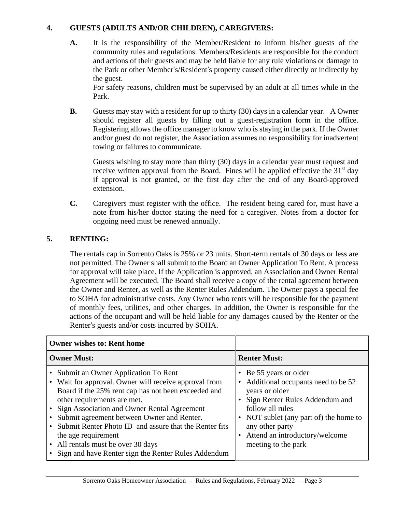## **4. GUESTS (ADULTS AND/OR CHILDREN), CAREGIVERS:**

**A.** It is the responsibility of the Member/Resident to inform his/her guests of the community rules and regulations. Members/Residents are responsible for the conduct and actions of their guests and may be held liable for any rule violations or damage to the Park or other Member's/Resident's property caused either directly or indirectly by the guest.

For safety reasons, children must be supervised by an adult at all times while in the Park.

**B.** Guests may stay with a resident for up to thirty (30) days in a calendar year. A Owner should register all guests by filling out a guest-registration form in the office. Registering allows the office manager to know who is staying in the park. If the Owner and/or guest do not register, the Association assumes no responsibility for inadvertent towing or failures to communicate.

Guests wishing to stay more than thirty (30) days in a calendar year must request and receive written approval from the Board. Fines will be applied effective the  $31<sup>st</sup>$  day if approval is not granted, or the first day after the end of any Board-approved extension.

**C.** Caregivers must register with the office. The resident being cared for, must have a note from his/her doctor stating the need for a caregiver. Notes from a doctor for ongoing need must be renewed annually.

# **5. RENTING:**

The rentals cap in Sorrento Oaks is 25% or 23 units. Short-term rentals of 30 days or less are not permitted. The Owner shall submit to the Board an Owner Application To Rent. A process for approval will take place. If the Application is approved, an Association and Owner Rental Agreement will be executed. The Board shall receive a copy of the rental agreement between the Owner and Renter, as well as the Renter Rules Addendum. The Owner pays a special fee to SOHA for administrative costs. Any Owner who rents will be responsible for the payment of monthly fees, utilities, and other charges. In addition, the Owner is responsible for the actions of the occupant and will be held liable for any damages caused by the Renter or the Renter's guests and/or costs incurred by SOHA.

| <b>Owner wishes to: Rent home</b>                                                                                                                                                                                                                                                                                                                                                                                                                                   |                                                                                                                                                                                                                                                                |  |
|---------------------------------------------------------------------------------------------------------------------------------------------------------------------------------------------------------------------------------------------------------------------------------------------------------------------------------------------------------------------------------------------------------------------------------------------------------------------|----------------------------------------------------------------------------------------------------------------------------------------------------------------------------------------------------------------------------------------------------------------|--|
| <b>Owner Must:</b>                                                                                                                                                                                                                                                                                                                                                                                                                                                  | <b>Renter Must:</b>                                                                                                                                                                                                                                            |  |
| Submit an Owner Application To Rent<br>• Wait for approval. Owner will receive approval from<br>Board if the 25% rent cap has not been exceeded and<br>other requirements are met.<br>• Sign Association and Owner Rental Agreement<br>Submit agreement between Owner and Renter.<br>• Submit Renter Photo ID and assure that the Renter fits<br>the age requirement<br>• All rentals must be over 30 days<br>• Sign and have Renter sign the Renter Rules Addendum | • Be 55 years or older<br>Additional occupants need to be 52<br>years or older<br>• Sign Renter Rules Addendum and<br>follow all rules<br>• NOT sublet (any part of) the home to<br>any other party<br>• Attend an introductory/welcome<br>meeting to the park |  |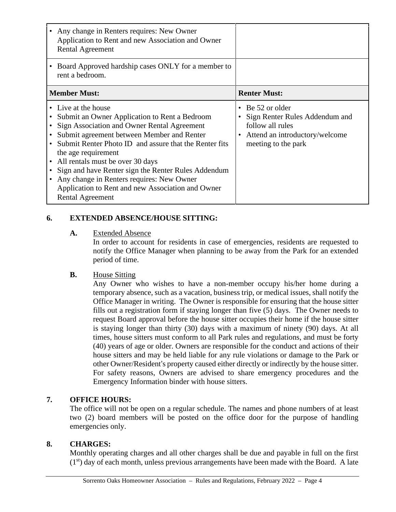| Any change in Renters requires: New Owner<br>Application to Rent and new Association and Owner<br><b>Rental Agreement</b>                                                                                                                                                                                                                                                                                                                                                  |                                                                                                                                 |
|----------------------------------------------------------------------------------------------------------------------------------------------------------------------------------------------------------------------------------------------------------------------------------------------------------------------------------------------------------------------------------------------------------------------------------------------------------------------------|---------------------------------------------------------------------------------------------------------------------------------|
| Board Approved hardship cases ONLY for a member to<br>rent a bedroom.                                                                                                                                                                                                                                                                                                                                                                                                      |                                                                                                                                 |
| <b>Member Must:</b>                                                                                                                                                                                                                                                                                                                                                                                                                                                        | <b>Renter Must:</b>                                                                                                             |
| • Live at the house<br>Submit an Owner Application to Rent a Bedroom<br>Sign Association and Owner Rental Agreement<br>Submit agreement between Member and Renter<br>Submit Renter Photo ID and assure that the Renter fits<br>the age requirement<br>All rentals must be over 30 days<br>Sign and have Renter sign the Renter Rules Addendum<br>Any change in Renters requires: New Owner<br>Application to Rent and new Association and Owner<br><b>Rental Agreement</b> | • Be 52 or older<br>Sign Renter Rules Addendum and<br>follow all rules<br>Attend an introductory/welcome<br>meeting to the park |

## **6. EXTENDED ABSENCE/HOUSE SITTING:**

**A.** Extended Absence

In order to account for residents in case of emergencies, residents are requested to notify the Office Manager when planning to be away from the Park for an extended period of time.

**B.** House Sitting

Any Owner who wishes to have a non-member occupy his/her home during a temporary absence, such as a vacation, business trip, or medical issues, shall notify the Office Manager in writing. The Owner is responsible for ensuring that the house sitter fills out a registration form if staying longer than five (5) days. The Owner needs to request Board approval before the house sitter occupies their home if the house sitter is staying longer than thirty (30) days with a maximum of ninety (90) days. At all times, house sitters must conform to all Park rules and regulations, and must be forty (40) years of age or older. Owners are responsible for the conduct and actions of their house sitters and may be held liable for any rule violations or damage to the Park or other Owner/Resident's property caused either directly or indirectly by the house sitter. For safety reasons, Owners are advised to share emergency procedures and the Emergency Information binder with house sitters.

## **7. OFFICE HOURS:**

The office will not be open on a regular schedule. The names and phone numbers of at least two (2) board members will be posted on the office door for the purpose of handling emergencies only.

## **8. CHARGES:**

Monthly operating charges and all other charges shall be due and payable in full on the first  $(1<sup>st</sup>)$  day of each month, unless previous arrangements have been made with the Board. A late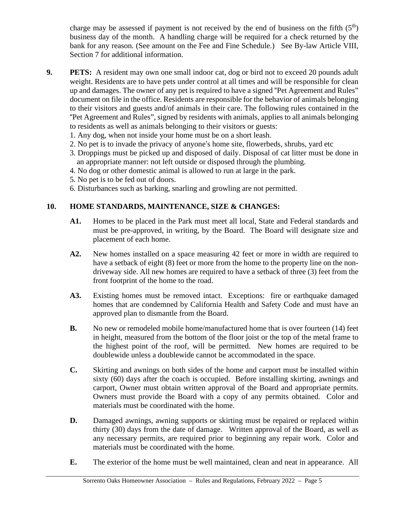charge may be assessed if payment is not received by the end of business on the fifth  $(5<sup>th</sup>)$ business day of the month. A handling charge will be required for a check returned by the bank for any reason. (See amount on the Fee and Fine Schedule.) See By-law Article VIII, Section 7 for additional information.

- **9. PETS:** A resident may own one small indoor cat, dog or bird not to exceed 20 pounds adult weight. Residents are to have pets under control at all times and will be responsible for clean up and damages. The owner of any pet is required to have a signed "Pet Agreement and Rules" document on file in the office. Residents are responsible for the behavior of animals belonging to their visitors and guests and/of animals in their care. The following rules contained in the "Pet Agreement and Rules", signed by residents with animals, applies to all animals belonging to residents as well as animals belonging to their visitors or guests:
	- 1. Any dog, when not inside your home must be on a short leash.
	- 2. No pet is to invade the privacy of anyone's home site, flowerbeds, shrubs, yard etc
	- 3. Droppings must be picked up and disposed of daily. Disposal of cat litter must be done in an appropriate manner: not left outside or disposed through the plumbing.
	- 4. No dog or other domestic animal is allowed to run at large in the park.
	- 5. No pet is to be fed out of doors.
	- 6. Disturbances such as barking, snarling and growling are not permitted.

# **10. HOME STANDARDS, MAINTENANCE, SIZE & CHANGES:**

- **A1.** Homes to be placed in the Park must meet all local, State and Federal standards and must be pre-approved, in writing, by the Board. The Board will designate size and placement of each home.
- **A2.** New homes installed on a space measuring 42 feet or more in width are required to have a setback of eight (8) feet or more from the home to the property line on the nondriveway side. All new homes are required to have a setback of three (3) feet from the front footprint of the home to the road.
- **A3.** Existing homes must be removed intact. Exceptions: fire or earthquake damaged homes that are condemned by California Health and Safety Code and must have an approved plan to dismantle from the Board.
- **B.** No new or remodeled mobile home/manufactured home that is over fourteen (14) feet in height, measured from the bottom of the floor joist or the top of the metal frame to the highest point of the roof, will be permitted. New homes are required to be doublewide unless a doublewide cannot be accommodated in the space.
- **C.** Skirting and awnings on both sides of the home and carport must be installed within sixty (60) days after the coach is occupied. Before installing skirting, awnings and carport, Owner must obtain written approval of the Board and appropriate permits. Owners must provide the Board with a copy of any permits obtained. Color and materials must be coordinated with the home.
- **D.** Damaged awnings, awning supports or skirting must be repaired or replaced within thirty (30) days from the date of damage. Written approval of the Board, as well as any necessary permits, are required prior to beginning any repair work. Color and materials must be coordinated with the home.
- **E.** The exterior of the home must be well maintained, clean and neat in appearance. All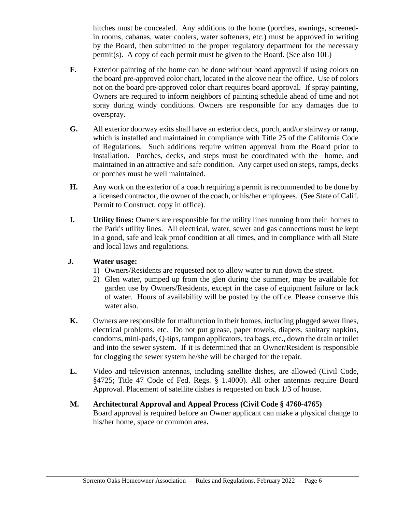hitches must be concealed. Any additions to the home (porches, awnings, screenedin rooms, cabanas, water coolers, water softeners, etc.) must be approved in writing by the Board, then submitted to the proper regulatory department for the necessary permit(s). A copy of each permit must be given to the Board. (See also 10L)

- **F.** Exterior painting of the home can be done without board approval if using colors on the board pre-approved color chart, located in the alcove near the office. Use of colors not on the board pre-approved color chart requires board approval. If spray painting, Owners are required to inform neighbors of painting schedule ahead of time and not spray during windy conditions. Owners are responsible for any damages due to overspray.
- **G.** All exterior doorway exits shall have an exterior deck, porch, and/or stairway or ramp, which is installed and maintained in compliance with Title 25 of the California Code of Regulations. Such additions require written approval from the Board prior to installation. Porches, decks, and steps must be coordinated with the home, and maintained in an attractive and safe condition. Any carpet used on steps, ramps, decks or porches must be well maintained.
- **H.** Any work on the exterior of a coach requiring a permit is recommended to be done by a licensed contractor, the owner of the coach, or his/her employees. (See State of Calif. Permit to Construct, copy in office).
- **I. Utility lines:** Owners are responsible for the utility lines running from their homes to the Park's utility lines. All electrical, water, sewer and gas connections must be kept in a good, safe and leak proof condition at all times, and in compliance with all State and local laws and regulations.
- **J. Water usage:**
	- 1) Owners/Residents are requested not to allow water to run down the street.
	- 2) Glen water, pumped up from the glen during the summer, may be available for garden use by Owners/Residents, except in the case of equipment failure or lack of water. Hours of availability will be posted by the office. Please conserve this water also.
- **K.** Owners are responsible for malfunction in their homes, including plugged sewer lines, electrical problems, etc. Do not put grease, paper towels, diapers, sanitary napkins, condoms, mini-pads, Q-tips, tampon applicators, tea bags, etc., down the drain or toilet and into the sewer system. If it is determined that an Owner/Resident is responsible for clogging the sewer system he/she will be charged for the repair.
- **L.** Video and television antennas, including satellite dishes, are allowed (Civil Code, §4725; Title 47 Code of Fed. Regs. § 1.4000). All other antennas require Board Approval. Placement of satellite dishes is requested on back 1/3 of house.

#### **M. Architectural Approval and Appeal Process (Civil Code § 4760-4765)** Board approval is required before an Owner applicant can make a physical change to his/her home, space or common area**.**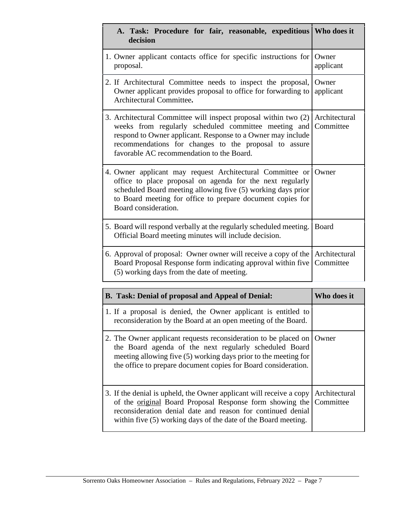| A. Task: Procedure for fair, reasonable, expeditious   Who does it<br>decision                                                                                                                                                                                                               |                            |
|----------------------------------------------------------------------------------------------------------------------------------------------------------------------------------------------------------------------------------------------------------------------------------------------|----------------------------|
| 1. Owner applicant contacts office for specific instructions for<br>proposal.                                                                                                                                                                                                                | Owner<br>applicant         |
| 2. If Architectural Committee needs to inspect the proposal,<br>Owner applicant provides proposal to office for forwarding to<br>Architectural Committee.                                                                                                                                    | Owner<br>applicant         |
| 3. Architectural Committee will inspect proposal within two (2)<br>weeks from regularly scheduled committee meeting and<br>respond to Owner applicant. Response to a Owner may include<br>recommendations for changes to the proposal to assure<br>favorable AC recommendation to the Board. | Architectural<br>Committee |
| 4. Owner applicant may request Architectural Committee or Owner<br>office to place proposal on agenda for the next regularly<br>scheduled Board meeting allowing five (5) working days prior<br>to Board meeting for office to prepare document copies for<br>Board consideration.           |                            |
| 5. Board will respond verbally at the regularly scheduled meeting.<br>Official Board meeting minutes will include decision.                                                                                                                                                                  | Board                      |
| 6. Approval of proposal: Owner owner will receive a copy of the Architectural<br>Board Proposal Response form indicating approval within five<br>(5) working days from the date of meeting.                                                                                                  | Committee                  |
| <b>B.</b> Task: Denial of proposal and Appeal of Denial:                                                                                                                                                                                                                                     | Who does it                |
| 1. If a proposal is denied, the Owner applicant is entitled to<br>reconsideration by the Board at an open meeting of the Board.                                                                                                                                                              |                            |
| 2. The Owner applicant requests reconsideration to be placed on<br>the Board agenda of the next regularly scheduled Board<br>meeting allowing five (5) working days prior to the meeting for<br>the office to prepare document copies for Board consideration.                               | Owner                      |
| 3. If the denial is upheld, the Owner applicant will receive a copy<br>of the <u>original</u> Board Proposal Response form showing the<br>reconsideration denial date and reason for continued denial<br>within five (5) working days of the date of the Board meeting.                      | Architectural<br>Committee |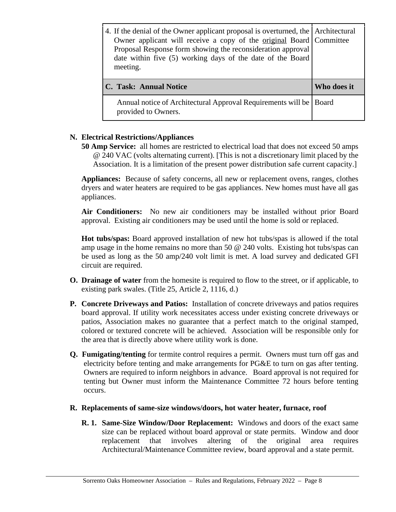| 4. If the denial of the Owner applicant proposal is overturned, the Architectural<br>Owner applicant will receive a copy of the <u>original</u> Board Committee<br>Proposal Response form showing the reconsideration approval<br>date within five (5) working days of the date of the Board<br>meeting. |             |  |
|----------------------------------------------------------------------------------------------------------------------------------------------------------------------------------------------------------------------------------------------------------------------------------------------------------|-------------|--|
| C. Task: Annual Notice                                                                                                                                                                                                                                                                                   | Who does it |  |
| Annual notice of Architectural Approval Requirements will be<br>provided to Owners.                                                                                                                                                                                                                      | Board       |  |

## **N. Electrical Restrictions/Appliances**

**50 Amp Service:** all homes are restricted to electrical load that does not exceed 50 amps @ 240 VAC (volts alternating current). [This is not a discretionary limit placed by the Association. It is a limitation of the present power distribution safe current capacity.]

**Appliances:** Because of safety concerns, all new or replacement ovens, ranges, clothes dryers and water heaters are required to be gas appliances. New homes must have all gas appliances.

**Air Conditioners:** No new air conditioners may be installed without prior Board approval. Existing air conditioners may be used until the home is sold or replaced.

**Hot tubs/spas:** Board approved installation of new hot tubs/spas is allowed if the total amp usage in the home remains no more than 50  $\omega$  240 volts. Existing hot tubs/spas can be used as long as the 50 amp/240 volt limit is met. A load survey and dedicated GFI circuit are required.

- **O. Drainage of water** from the homesite is required to flow to the street, or if applicable, to existing park swales. (Title 25, Article 2, 1116, d.)
- **P. Concrete Driveways and Patios:** Installation of concrete driveways and patios requires board approval. If utility work necessitates access under existing concrete driveways or patios, Association makes no guarantee that a perfect match to the original stamped, colored or textured concrete will be achieved. Association will be responsible only for the area that is directly above where utility work is done.
- **Q. Fumigating/tenting** for termite control requires a permit. Owners must turn off gas and electricity before tenting and make arrangements for PG&E to turn on gas after tenting. Owners are required to inform neighbors in advance. Board approval is not required for tenting but Owner must inform the Maintenance Committee 72 hours before tenting occurs.
- **R. Replacements of same-size windows/doors, hot water heater, furnace, roof**
	- **R. 1. Same-Size Window/Door Replacement:** Windows and doors of the exact same size can be replaced without board approval or state permits. Window and door replacement that involves altering of the original area requires Architectural/Maintenance Committee review, board approval and a state permit.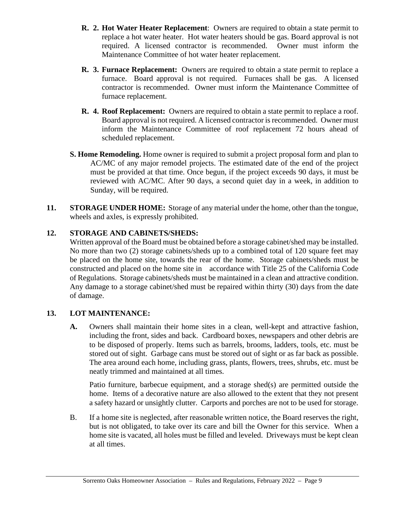- **R. 2. Hot Water Heater Replacement**: Owners are required to obtain a state permit to replace a hot water heater. Hot water heaters should be gas. Board approval is not required. A licensed contractor is recommended. Owner must inform the Maintenance Committee of hot water heater replacement.
- **R. 3. Furnace Replacement:** Owners are required to obtain a state permit to replace a furnace. Board approval is not required. Furnaces shall be gas. A licensed contractor is recommended. Owner must inform the Maintenance Committee of furnace replacement.
- **R. 4. Roof Replacement:** Owners are required to obtain a state permit to replace a roof. Board approval is not required. A licensed contractor isrecommended. Owner must inform the Maintenance Committee of roof replacement 72 hours ahead of scheduled replacement.
- **S. Home Remodeling.** Home owner is required to submit a project proposal form and plan to AC/MC of any major remodel projects. The estimated date of the end of the project must be provided at that time. Once begun, if the project exceeds 90 days, it must be reviewed with AC/MC. After 90 days, a second quiet day in a week, in addition to Sunday, will be required.
- **11. STORAGE UNDER HOME:** Storage of any material under the home, other than the tongue, wheels and axles, is expressly prohibited.

## **12. STORAGE AND CABINETS/SHEDS:**

Written approval of the Board must be obtained before a storage cabinet/shed may be installed. No more than two (2) storage cabinets/sheds up to a combined total of 120 square feet may be placed on the home site, towards the rear of the home. Storage cabinets/sheds must be constructed and placed on the home site in accordance with Title 25 of the California Code of Regulations. Storage cabinets/sheds must be maintained in a clean and attractive condition. Any damage to a storage cabinet/shed must be repaired within thirty (30) days from the date of damage.

## **13. LOT MAINTENANCE:**

**A.** Owners shall maintain their home sites in a clean, well-kept and attractive fashion, including the front, sides and back. Cardboard boxes, newspapers and other debris are to be disposed of properly. Items such as barrels, brooms, ladders, tools, etc. must be stored out of sight. Garbage cans must be stored out of sight or as far back as possible. The area around each home, including grass, plants, flowers, trees, shrubs, etc. must be neatly trimmed and maintained at all times.

Patio furniture, barbecue equipment, and a storage shed(s) are permitted outside the home. Items of a decorative nature are also allowed to the extent that they not present a safety hazard or unsightly clutter. Carports and porches are not to be used for storage.

B. If a home site is neglected, after reasonable written notice, the Board reserves the right, but is not obligated, to take over its care and bill the Owner for this service. When a home site is vacated, all holes must be filled and leveled. Driveways must be kept clean at all times.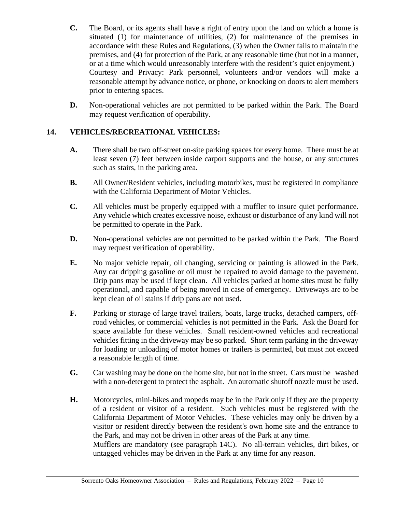- **C.** The Board, or its agents shall have a right of entry upon the land on which a home is situated (1) for maintenance of utilities, (2) for maintenance of the premises in accordance with these Rules and Regulations, (3) when the Owner fails to maintain the premises, and (4) for protection of the Park, at any reasonable time (but not in a manner, or at a time which would unreasonably interfere with the resident's quiet enjoyment.) Courtesy and Privacy: Park personnel, volunteers and/or vendors will make a reasonable attempt by advance notice, or phone, or knocking on doors to alert members prior to entering spaces.
- **D.** Non-operational vehicles are not permitted to be parked within the Park. The Board may request verification of operability.

## **14. VEHICLES/RECREATIONAL VEHICLES:**

- **A.** There shall be two off-street on-site parking spaces for every home. There must be at least seven (7) feet between inside carport supports and the house, or any structures such as stairs, in the parking area.
- **B.** All Owner/Resident vehicles, including motorbikes, must be registered in compliance with the California Department of Motor Vehicles.
- **C.** All vehicles must be properly equipped with a muffler to insure quiet performance. Any vehicle which creates excessive noise, exhaust or disturbance of any kind will not be permitted to operate in the Park.
- **D.** Non-operational vehicles are not permitted to be parked within the Park. The Board may request verification of operability.
- **E.** No major vehicle repair, oil changing, servicing or painting is allowed in the Park. Any car dripping gasoline or oil must be repaired to avoid damage to the pavement. Drip pans may be used if kept clean. All vehicles parked at home sites must be fully operational, and capable of being moved in case of emergency. Driveways are to be kept clean of oil stains if drip pans are not used.
- **F.** Parking or storage of large travel trailers, boats, large trucks, detached campers, offroad vehicles, or commercial vehicles is not permitted in the Park. Ask the Board for space available for these vehicles. Small resident-owned vehicles and recreational vehicles fitting in the driveway may be so parked. Short term parking in the driveway for loading or unloading of motor homes or trailers is permitted, but must not exceed a reasonable length of time.
- **G.** Car washing may be done on the home site, but not in the street. Cars must be washed with a non-detergent to protect the asphalt. An automatic shutoff nozzle must be used.
- **H.** Motorcycles, mini-bikes and mopeds may be in the Park only if they are the property of a resident or visitor of a resident. Such vehicles must be registered with the California Department of Motor Vehicles. These vehicles may only be driven by a visitor or resident directly between the resident's own home site and the entrance to the Park, and may not be driven in other areas of the Park at any time. Mufflers are mandatory (see paragraph 14C). No all-terrain vehicles, dirt bikes, or untagged vehicles may be driven in the Park at any time for any reason.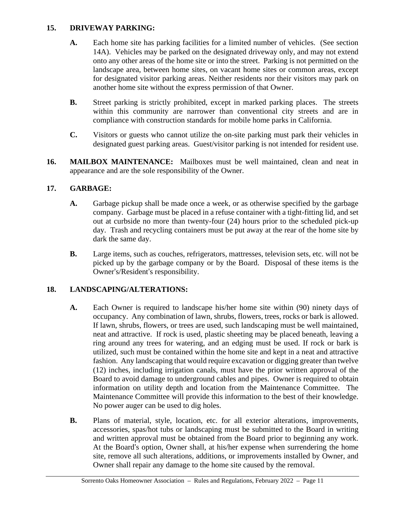## **15. DRIVEWAY PARKING:**

- **A.** Each home site has parking facilities for a limited number of vehicles. (See section 14A). Vehicles may be parked on the designated driveway only, and may not extend onto any other areas of the home site or into the street. Parking is not permitted on the landscape area, between home sites, on vacant home sites or common areas, except for designated visitor parking areas. Neither residents nor their visitors may park on another home site without the express permission of that Owner.
- **B.** Street parking is strictly prohibited, except in marked parking places. The streets within this community are narrower than conventional city streets and are in compliance with construction standards for mobile home parks in California.
- **C.** Visitors or guests who cannot utilize the on-site parking must park their vehicles in designated guest parking areas. Guest/visitor parking is not intended for resident use.
- **16. MAILBOX MAINTENANCE:** Mailboxes must be well maintained, clean and neat in appearance and are the sole responsibility of the Owner.

## **17. GARBAGE:**

- **A.** Garbage pickup shall be made once a week, or as otherwise specified by the garbage company. Garbage must be placed in a refuse container with a tight-fitting lid, and set out at curbside no more than twenty-four (24) hours prior to the scheduled pick-up day. Trash and recycling containers must be put away at the rear of the home site by dark the same day.
- **B.** Large items, such as couches, refrigerators, mattresses, television sets, etc. will not be picked up by the garbage company or by the Board. Disposal of these items is the Owner's/Resident's responsibility.

## **18. LANDSCAPING/ALTERATIONS:**

- **A.** Each Owner is required to landscape his/her home site within (90) ninety days of occupancy. Any combination of lawn, shrubs, flowers, trees, rocks or bark is allowed. If lawn, shrubs, flowers, or trees are used, such landscaping must be well maintained, neat and attractive. If rock is used, plastic sheeting may be placed beneath, leaving a ring around any trees for watering, and an edging must be used. If rock orbark is utilized, such must be contained within the home site and kept in a neat and attractive fashion. Any landscaping that would require excavation or digging greater than twelve (12) inches, including irrigation canals, must have the prior written approval of the Board to avoid damage to underground cables and pipes. Owner is required to obtain information on utility depth and location from the Maintenance Committee. The Maintenance Committee will provide this information to the best of their knowledge. No power auger can be used to dig holes.
- **B.** Plans of material, style, location, etc. for all exterior alterations, improvements, accessories, spas/hot tubs or landscaping must be submitted to the Board in writing and written approval must be obtained from the Board prior to beginning any work. At the Board's option, Owner shall, at his/her expense when surrendering the home site, remove all such alterations, additions, or improvements installed by Owner, and Owner shall repair any damage to the home site caused by the removal.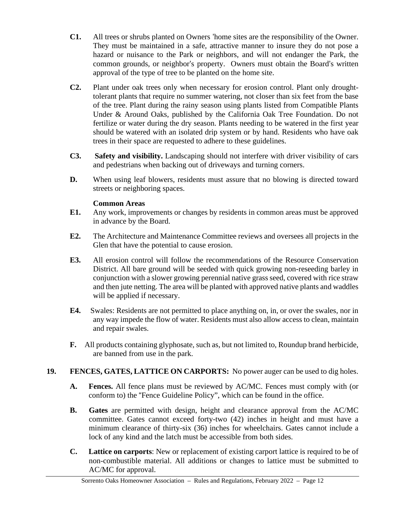- **C1.** All trees or shrubs planted on Owners 'home sites are the responsibility of the Owner. They must be maintained in a safe, attractive manner to insure they do not pose a hazard or nuisance to the Park or neighbors, and will not endanger the Park, the common grounds, or neighbor's property. Owners must obtain the Board's written approval of the type of tree to be planted on the home site.
- **C2.** Plant under oak trees only when necessary for erosion control. Plant only droughttolerant plants that require no summer watering, not closer than six feet from the base of the tree. Plant during the rainy season using plants listed from Compatible Plants Under & Around Oaks, published by the California Oak Tree Foundation. Do not fertilize or water during the dry season. Plants needing to be watered in the first year should be watered with an isolated drip system or by hand. Residents who have oak trees in their space are requested to adhere to these guidelines.
- **C3. Safety and visibility.** Landscaping should not interfere with driver visibility of cars and pedestrians when backing out of driveways and turning corners.
- **D.** When using leaf blowers, residents must assure that no blowing is directed toward streets or neighboring spaces.

## **Common Areas**

- **E1.** Any work, improvements or changes by residents in common areas must be approved in advance by the Board.
- **E2.** The Architecture and Maintenance Committee reviews and oversees all projects in the Glen that have the potential to cause erosion.
- **E3.** All erosion control will follow the recommendations of the Resource Conservation District. All bare ground will be seeded with quick growing non-reseeding barley in conjunction with a slower growing perennial native grass seed, covered with rice straw and then jute netting. The area will be planted with approved native plants and waddles will be applied if necessary.
- **E4.** Swales: Residents are not permitted to place anything on, in, or over the swales, nor in any way impede the flow of water. Residents must also allow access to clean, maintain and repair swales.
- **F.** All products containing glyphosate, such as, but not limited to, Roundup brand herbicide, are banned from use in the park.

## **19. FENCES, GATES, LATTICE ON CARPORTS:** No power auger can be used to dig holes.

- **A. Fences.** All fence plans must be reviewed by AC/MC. Fences must comply with (or conform to) the "Fence Guideline Policy", which can be found in the office.
- **B. Gates** are permitted with design, height and clearance approval from the AC/MC committee. Gates cannot exceed forty-two (42) inches in height and must have a minimum clearance of thirty-six (36) inches for wheelchairs. Gates cannot include a lock of any kind and the latch must be accessible from both sides.
- **C. Lattice on carports**: New or replacement of existing carport lattice is required to be of non-combustible material. All additions or changes to lattice must be submitted to AC/MC for approval.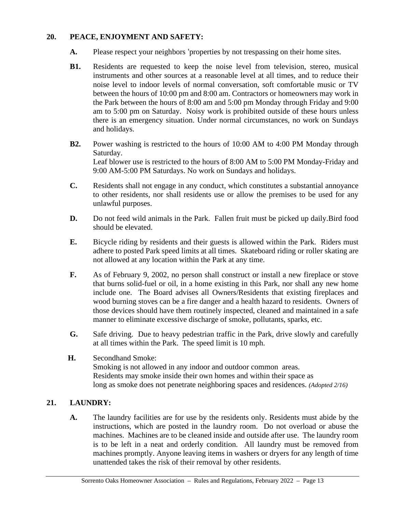## **20. PEACE, ENJOYMENT AND SAFETY:**

- **A.** Please respect your neighbors 'properties by not trespassing on their home sites.
- **B1.** Residents are requested to keep the noise level from television, stereo, musical instruments and other sources at a reasonable level at all times, and to reduce their noise level to indoor levels of normal conversation, soft comfortable music or TV between the hours of 10:00 pm and 8:00 am. Contractors or homeowners may work in the Park between the hours of 8:00 am and 5:00 pm Monday through Friday and 9:00 am to 5:00 pm on Saturday. Noisy work is prohibited outside of these hours unless there is an emergency situation. Under normal circumstances, no work on Sundays and holidays.
- **B2.** Power washing is restricted to the hours of 10:00 AM to 4:00 PM Monday through Saturday. Leaf blower use is restricted to the hours of 8:00 AM to 5:00 PM Monday-Friday and 9:00 AM-5:00 PM Saturdays. No work on Sundays and holidays.
- **C.** Residents shall not engage in any conduct, which constitutes a substantial annoyance to other residents, nor shall residents use or allow the premises to be used for any unlawful purposes.
- **D.** Do not feed wild animals in the Park. Fallen fruit must be picked up daily.Bird food should be elevated.
- **E.** Bicycle riding by residents and their guests is allowed within the Park. Riders must adhere to posted Park speed limits at all times. Skateboard riding or roller skating are not allowed at any location within the Park at any time.
- **F.** As of February 9, 2002, no person shall construct or install a new fireplace or stove that burns solid-fuel or oil, in a home existing in this Park, nor shall any new home include one. The Board advises all Owners/Residents that existing fireplaces and wood burning stoves can be a fire danger and a health hazard to residents. Owners of those devices should have them routinely inspected, cleaned and maintained in a safe manner to eliminate excessive discharge of smoke, pollutants, sparks, etc.
- **G.** Safe driving. Due to heavy pedestrian traffic in the Park, drive slowly and carefully at all times within the Park. The speed limit is 10 mph.
- **H.** Secondhand Smoke: Smoking is not allowed in any indoor and outdoor common areas. Residents may smoke inside their own homes and within their space as long as smoke does not penetrate neighboring spaces and residences. *(Adopted 2/16)*

## **21. LAUNDRY:**

**A.** The laundry facilities are for use by the residents only. Residents must abide by the instructions, which are posted in the laundry room. Do not overload or abuse the machines. Machines are to be cleaned inside and outside after use. The laundry room is to be left in a neat and orderly condition. All laundry must be removed from machines promptly. Anyone leaving items in washers or dryers for any length of time unattended takes the risk of their removal by other residents.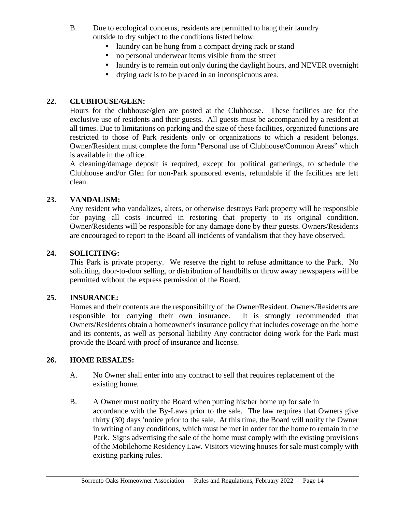- B. Due to ecological concerns, residents are permitted to hang their laundry outside to dry subject to the conditions listed below:
	- laundry can be hung from a compact drying rack or stand
	- no personal underwear items visible from the street
	- laundry is to remain out only during the daylight hours, and NEVER overnight
	- drying rack is to be placed in an inconspicuous area.

#### **22. CLUBHOUSE/GLEN:**

Hours for the clubhouse/glen are posted at the Clubhouse. These facilities are for the exclusive use of residents and their guests. All guests must be accompanied by a resident at all times. Due to limitations on parking and the size of these facilities, organized functions are restricted to those of Park residents only or organizations to which a resident belongs. Owner/Resident must complete the form "Personal use of Clubhouse/Common Areas" which is available in the office.

A cleaning/damage deposit is required, except for political gatherings, to schedule the Clubhouse and/or Glen for non-Park sponsored events, refundable if the facilities are left clean.

#### **23. VANDALISM:**

Any resident who vandalizes, alters, or otherwise destroys Park property will be responsible for paying all costs incurred in restoring that property to its original condition. Owner/Residents will be responsible for any damage done by their guests. Owners/Residents are encouraged to report to the Board all incidents of vandalism that they have observed.

#### **24. SOLICITING:**

This Park is private property. We reserve the right to refuse admittance to the Park. No soliciting, door-to-door selling, or distribution of handbills or throw away newspapers will be permitted without the express permission of the Board.

#### **25. INSURANCE:**

Homes and their contents are the responsibility of the Owner/Resident. Owners/Residents are responsible for carrying their own insurance. It is strongly recommended that Owners/Residents obtain a homeowner's insurance policy that includes coverage on the home and its contents, as well as personal liability Any contractor doing work for the Park must provide the Board with proof of insurance and license.

#### **26. HOME RESALES:**

- A. No Owner shall enter into any contract to sell that requires replacement of the existing home.
- B. A Owner must notify the Board when putting his/her home up for sale in accordance with the By-Laws prior to the sale. The law requires that Owners give thirty (30) days 'notice prior to the sale. At this time, the Board will notify the Owner in writing of any conditions, which must be met in order for the home to remain in the Park. Signs advertising the sale of the home must comply with the existing provisions of the Mobilehome Residency Law. Visitors viewing housesforsale must comply with existing parking rules.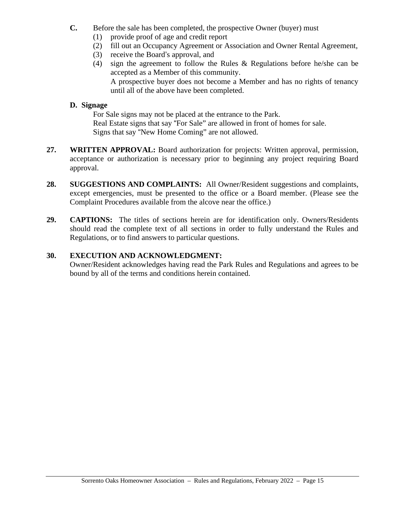- **C.** Before the sale has been completed, the prospective Owner (buyer) must
	- (1) provide proof of age and credit report
	- (2) fill out an Occupancy Agreement or Association and Owner Rental Agreement,
	- (3) receive the Board's approval, and
	- (4) sign the agreement to follow the Rules & Regulations before he/she can be accepted as a Member of this community. A prospective buyer does not become a Member and has no rights of tenancy until all of the above have been completed.

#### **D. Signage**

For Sale signs may not be placed at the entrance to the Park. Real Estate signs that say "For Sale" are allowed in front of homes for sale. Signs that say "New Home Coming" are not allowed.

- **27. WRITTEN APPROVAL:** Board authorization for projects: Written approval, permission, acceptance or authorization is necessary prior to beginning any project requiring Board approval.
- **28. SUGGESTIONS AND COMPLAINTS:** All Owner/Resident suggestions and complaints, except emergencies, must be presented to the office or a Board member. (Please see the Complaint Procedures available from the alcove near the office.)
- **29. CAPTIONS:** The titles of sections herein are for identification only. Owners/Residents should read the complete text of all sections in order to fully understand the Rules and Regulations, or to find answers to particular questions.

#### **30. EXECUTION AND ACKNOWLEDGMENT:**

Owner/Resident acknowledges having read the Park Rules and Regulations and agrees to be bound by all of the terms and conditions herein contained.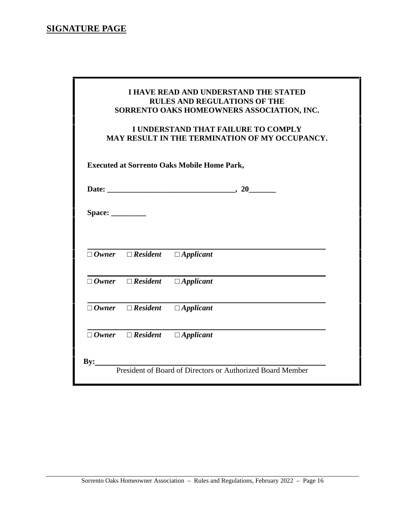# **SIGNATURE PAGE**

ш

|                                                    |                 | I UNDERSTAND THAT FAILURE TO COMPLY<br><b>MAY RESULT IN THE TERMINATION OF MY OCCUPANCY.</b> |  |
|----------------------------------------------------|-----------------|----------------------------------------------------------------------------------------------|--|
| <b>Executed at Sorrento Oaks Mobile Home Park,</b> |                 |                                                                                              |  |
|                                                    |                 |                                                                                              |  |
|                                                    |                 |                                                                                              |  |
| Owner                                              | <b>Resident</b> | <b>Applicant</b>                                                                             |  |
| Owner                                              | <b>Resident</b> | <b>Applicant</b>                                                                             |  |
| Owner                                              | <b>Resident</b> | <b>Applicant</b>                                                                             |  |